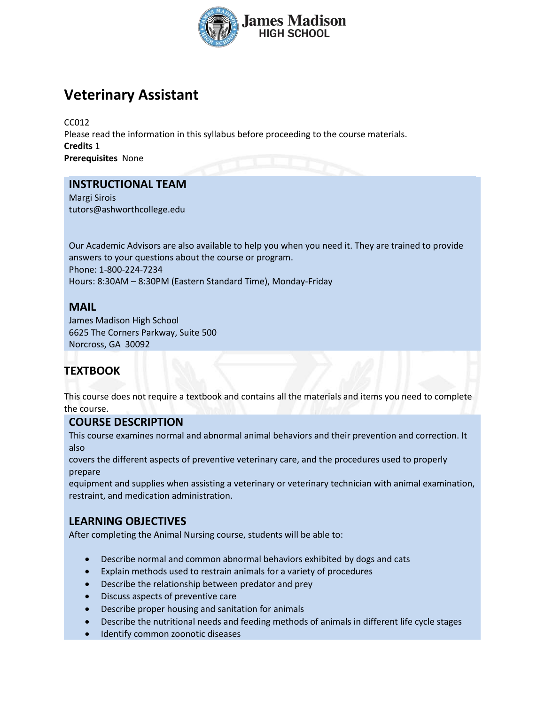

# **Veterinary Assistant**

CC012 Please read the information in this syllabus before proceeding to the course materials. **Credits** 1 **Prerequisites** None

## **INSTRUCTIONAL TEAM**

Margi Sirois tutors@ashworthcollege.edu

Our Academic Advisors are also available to help you when you need it. They are trained to provide answers to your questions about the course or program. Phone: 1-800-224-7234 Hours: 8:30AM – 8:30PM (Eastern Standard Time), Monday-Friday

## **MAIL**

James Madison High School 6625 The Corners Parkway, Suite 500 Norcross, GA 30092

# **TEXTBOOK**

This course does not require a textbook and contains all the materials and items you need to complete the course.

#### **COURSE DESCRIPTION**

This course examines normal and abnormal animal behaviors and their prevention and correction. It also

covers the different aspects of preventive veterinary care, and the procedures used to properly prepare

equipment and supplies when assisting a veterinary or veterinary technician with animal examination, restraint, and medication administration.

# **LEARNING OBJECTIVES**

After completing the Animal Nursing course, students will be able to:

- Describe normal and common abnormal behaviors exhibited by dogs and cats
- Explain methods used to restrain animals for a variety of procedures
- Describe the relationship between predator and prey
- Discuss aspects of preventive care
- Describe proper housing and sanitation for animals
- Describe the nutritional needs and feeding methods of animals in different life cycle stages
- Identify common zoonotic diseases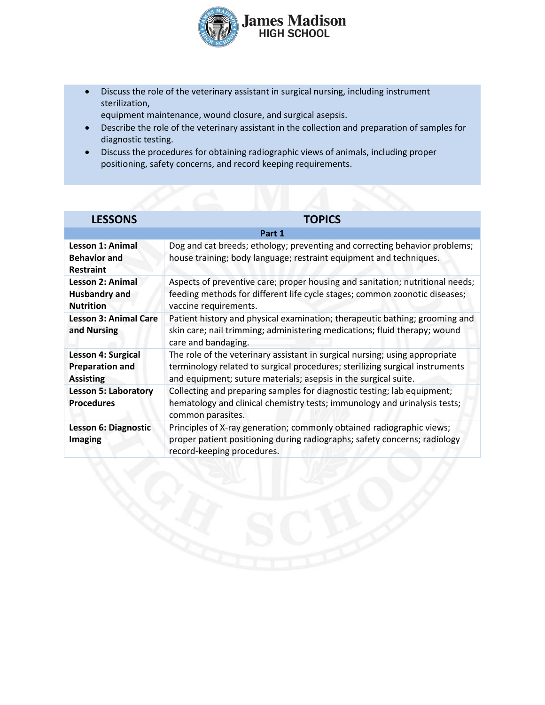

- Discuss the role of the veterinary assistant in surgical nursing, including instrument sterilization,
- equipment maintenance, wound closure, and surgical asepsis.
- Describe the role of the veterinary assistant in the collection and preparation of samples for diagnostic testing.
- Discuss the procedures for obtaining radiographic views of animals, including proper positioning, safety concerns, and record keeping requirements.

| <b>LESSONS</b>                                                      | <b>TOPICS</b>                                                                                                                                                                        |  |  |
|---------------------------------------------------------------------|--------------------------------------------------------------------------------------------------------------------------------------------------------------------------------------|--|--|
| Part 1                                                              |                                                                                                                                                                                      |  |  |
| <b>Lesson 1: Animal</b><br><b>Behavior and</b><br><b>Restraint</b>  | Dog and cat breeds; ethology; preventing and correcting behavior problems;<br>house training; body language; restraint equipment and techniques.                                     |  |  |
| <b>Lesson 2: Animal</b><br><b>Husbandry and</b><br><b>Nutrition</b> | Aspects of preventive care; proper housing and sanitation; nutritional needs;<br>feeding methods for different life cycle stages; common zoonotic diseases;<br>vaccine requirements. |  |  |
| <b>Lesson 3: Animal Care</b><br>and Nursing                         | Patient history and physical examination; therapeutic bathing; grooming and<br>skin care; nail trimming; administering medications; fluid therapy; wound<br>care and bandaging.      |  |  |
| Lesson 4: Surgical                                                  | The role of the veterinary assistant in surgical nursing; using appropriate                                                                                                          |  |  |
| <b>Preparation and</b><br><b>Assisting</b>                          | terminology related to surgical procedures; sterilizing surgical instruments<br>and equipment; suture materials; asepsis in the surgical suite.                                      |  |  |
| <b>Lesson 5: Laboratory</b><br><b>Procedures</b>                    | Collecting and preparing samples for diagnostic testing; lab equipment;<br>hematology and clinical chemistry tests; immunology and urinalysis tests;<br>common parasites.            |  |  |
| Lesson 6: Diagnostic<br><b>Imaging</b>                              | Principles of X-ray generation; commonly obtained radiographic views;<br>proper patient positioning during radiographs; safety concerns; radiology<br>record-keeping procedures.     |  |  |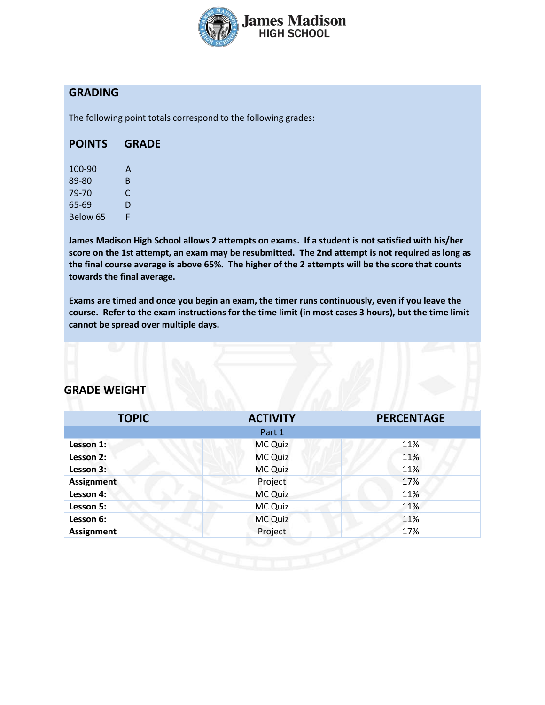

## **GRADING**

The following point totals correspond to the following grades:

#### **POINTS GRADE**

| 100-90   | А  |
|----------|----|
| 89-80    | B. |
| 79-70    | C  |
| 65-69    | D  |
| Below 65 | F  |

**James Madison High School allows 2 attempts on exams. If a student is not satisfied with his/her score on the 1st attempt, an exam may be resubmitted. The 2nd attempt is not required as long as the final course average is above 65%. The higher of the 2 attempts will be the score that counts towards the final average.** 

**Exams are timed and once you begin an exam, the timer runs continuously, even if you leave the course. Refer to the exam instructions for the time limit (in most cases 3 hours), but the time limit cannot be spread over multiple days.**

## **GRADE WEIGHT**

| <b>TOPIC</b>      | <b>ACTIVITY</b> | <b>PERCENTAGE</b> |
|-------------------|-----------------|-------------------|
|                   | Part 1          |                   |
| Lesson 1:         | MC Quiz         | 11%               |
| Lesson 2:         | <b>MC Quiz</b>  | 11%               |
| Lesson 3:         | <b>MC Quiz</b>  | 11%               |
| <b>Assignment</b> | Project         | 17%               |
| Lesson 4:         | MC Quiz         | 11%               |
| Lesson 5:         | MC Quiz         | 11%               |
| Lesson 6:         | <b>MC Quiz</b>  | 11%               |
| <b>Assignment</b> | Project         | 17%               |